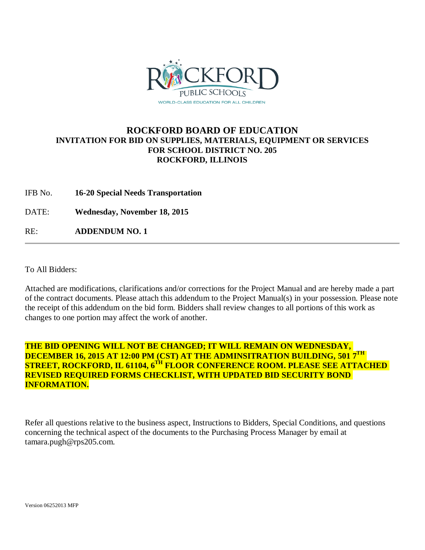

## **ROCKFORD BOARD OF EDUCATION INVITATION FOR BID ON SUPPLIES, MATERIALS, EQUIPMENT OR SERVICES FOR SCHOOL DISTRICT NO. 205 ROCKFORD, ILLINOIS**

IFB No. **16-20 Special Needs Transportation**

DATE: **Wednesday, November 18, 2015**

RE: **ADDENDUM NO. 1**

To All Bidders:

Attached are modifications, clarifications and/or corrections for the Project Manual and are hereby made a part of the contract documents. Please attach this addendum to the Project Manual(s) in your possession. Please note the receipt of this addendum on the bid form. Bidders shall review changes to all portions of this work as changes to one portion may affect the work of another.

## **THE BID OPENING WILL NOT BE CHANGED; IT WILL REMAIN ON WEDNESDAY, DECEMBER 16, 2015 AT 12:00 PM (CST) AT THE ADMINSITRATION BUILDING, 501 7TH STREET, ROCKFORD, IL 61104, 6TH FLOOR CONFERENCE ROOM. PLEASE SEE ATTACHED REVISED REQUIRED FORMS CHECKLIST, WITH UPDATED BID SECURITY BOND INFORMATION.**

Refer all questions relative to the business aspect, Instructions to Bidders, Special Conditions, and questions concerning the technical aspect of the documents to the Purchasing Process Manager by email at tamara.pugh@rps205.com.